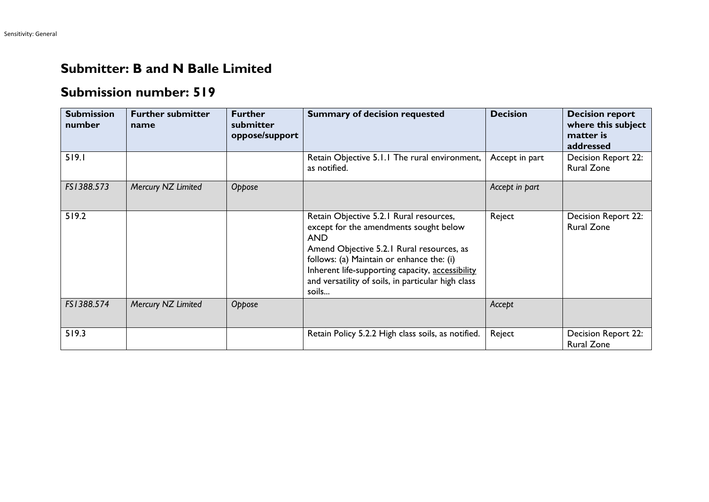## **Submitter: B and N Balle Limited**

## **Submission number: 519**

| <b>Submission</b><br>number | <b>Further submitter</b><br>name | <b>Further</b><br>submitter<br>oppose/support | <b>Summary of decision requested</b>                                                                                                                                                                                                                                                                         | <b>Decision</b> | <b>Decision report</b><br>where this subject<br>matter is<br>addressed |
|-----------------------------|----------------------------------|-----------------------------------------------|--------------------------------------------------------------------------------------------------------------------------------------------------------------------------------------------------------------------------------------------------------------------------------------------------------------|-----------------|------------------------------------------------------------------------|
| 519.1                       |                                  |                                               | Retain Objective 5.1.1 The rural environment,<br>as notified.                                                                                                                                                                                                                                                | Accept in part  | Decision Report 22:<br><b>Rural Zone</b>                               |
| FS1388.573                  | Mercury NZ Limited               | Oppose                                        |                                                                                                                                                                                                                                                                                                              | Accept in part  |                                                                        |
| 519.2                       |                                  |                                               | Retain Objective 5.2.1 Rural resources,<br>except for the amendments sought below<br><b>AND</b><br>Amend Objective 5.2.1 Rural resources, as<br>follows: (a) Maintain or enhance the: (i)<br>Inherent life-supporting capacity, accessibility<br>and versatility of soils, in particular high class<br>soils | Reject          | Decision Report 22:<br><b>Rural Zone</b>                               |
| FS1388.574                  | Mercury NZ Limited               | Oppose                                        |                                                                                                                                                                                                                                                                                                              | Accept          |                                                                        |
| 519.3                       |                                  |                                               | Retain Policy 5.2.2 High class soils, as notified.                                                                                                                                                                                                                                                           | Reject          | Decision Report 22:<br><b>Rural Zone</b>                               |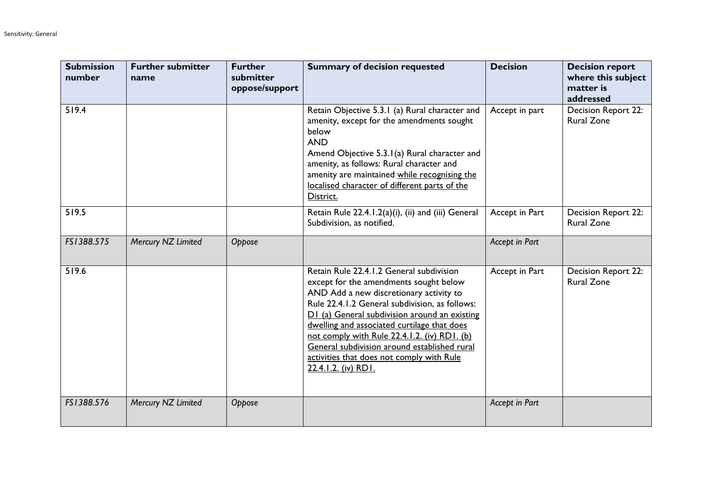| <b>Submission</b><br>number | <b>Further submitter</b><br>name | <b>Further</b><br>submitter<br>oppose/support | <b>Summary of decision requested</b>                                                                                                                                                                                                                                                                                                                                                                                                                | <b>Decision</b> | <b>Decision report</b><br>where this subject<br>matter is<br>addressed |
|-----------------------------|----------------------------------|-----------------------------------------------|-----------------------------------------------------------------------------------------------------------------------------------------------------------------------------------------------------------------------------------------------------------------------------------------------------------------------------------------------------------------------------------------------------------------------------------------------------|-----------------|------------------------------------------------------------------------|
| 519.4                       |                                  |                                               | Retain Objective 5.3.1 (a) Rural character and<br>amenity, except for the amendments sought<br>below<br><b>AND</b><br>Amend Objective 5.3.1(a) Rural character and<br>amenity, as follows: Rural character and<br>amenity are maintained while recognising the<br>localised character of different parts of the<br>District.                                                                                                                        | Accept in part  | Decision Report 22:<br><b>Rural Zone</b>                               |
| 519.5                       |                                  |                                               | Retain Rule 22.4.1.2(a)(i), (ii) and (iii) General<br>Subdivision, as notified.                                                                                                                                                                                                                                                                                                                                                                     | Accept in Part  | Decision Report 22:<br><b>Rural Zone</b>                               |
| FS1388.575                  | Mercury NZ Limited               | Oppose                                        |                                                                                                                                                                                                                                                                                                                                                                                                                                                     | Accept in Part  |                                                                        |
| 519.6                       |                                  |                                               | Retain Rule 22.4.1.2 General subdivision<br>except for the amendments sought below<br>AND Add a new discretionary activity to<br>Rule 22.4.1.2 General subdivision, as follows:<br>D1 (a) General subdivision around an existing<br>dwelling and associated curtilage that does<br>not comply with Rule 22.4.1.2. (iv) RD1. (b)<br>General subdivision around established rural<br>activities that does not comply with Rule<br>22.4.1.2. (iv) RD1. | Accept in Part  | <b>Decision Report 22:</b><br><b>Rural Zone</b>                        |
| FS1388.576                  | Mercury NZ Limited               | Oppose                                        |                                                                                                                                                                                                                                                                                                                                                                                                                                                     | Accept in Part  |                                                                        |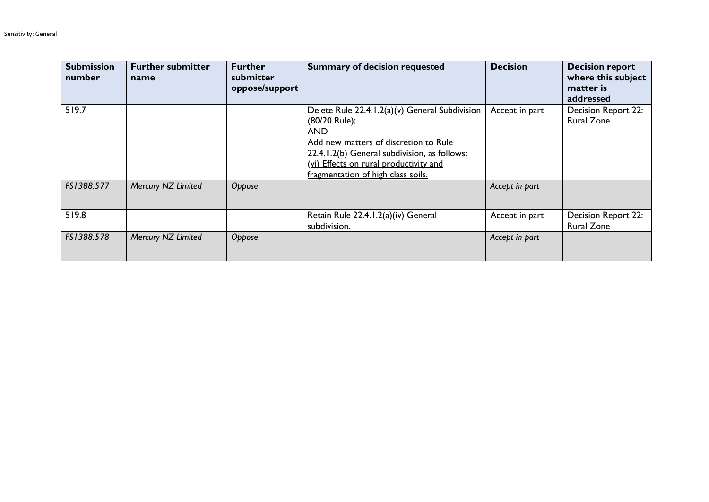| <b>Submission</b><br>number | <b>Further submitter</b><br>name | <b>Further</b><br>submitter<br>oppose/support | <b>Summary of decision requested</b>                                                                                                                                                                                                                   | <b>Decision</b> | <b>Decision report</b><br>where this subject<br>matter is<br>addressed |
|-----------------------------|----------------------------------|-----------------------------------------------|--------------------------------------------------------------------------------------------------------------------------------------------------------------------------------------------------------------------------------------------------------|-----------------|------------------------------------------------------------------------|
| 519.7                       |                                  |                                               | Delete Rule 22.4.1.2(a)(v) General Subdivision<br>(80/20 Rule);<br><b>AND</b><br>Add new matters of discretion to Rule<br>22.4.1.2(b) General subdivision, as follows:<br>(vi) Effects on rural productivity and<br>fragmentation of high class soils. | Accept in part  | Decision Report 22:<br><b>Rural Zone</b>                               |
| FS1388.577                  | Mercury NZ Limited               | Oppose                                        |                                                                                                                                                                                                                                                        | Accept in part  |                                                                        |
| 519.8                       |                                  |                                               | Retain Rule 22.4.1.2(a)(iv) General<br>subdivision.                                                                                                                                                                                                    | Accept in part  | <b>Decision Report 22:</b><br><b>Rural Zone</b>                        |
| FS1388.578                  | Mercury NZ Limited               | Oppose                                        |                                                                                                                                                                                                                                                        | Accept in part  |                                                                        |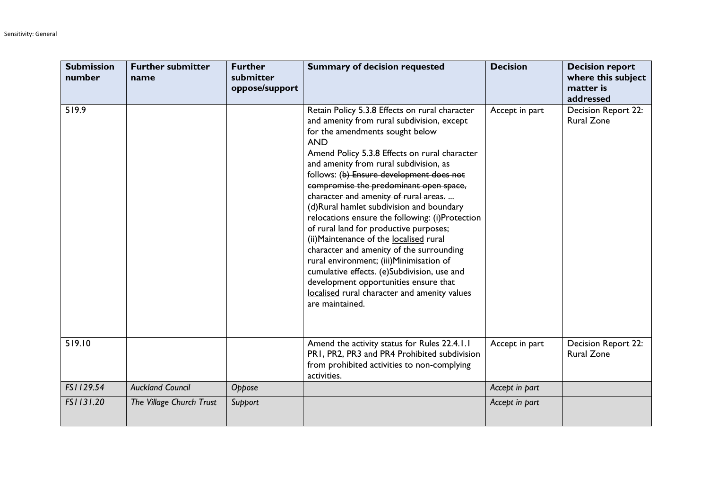| <b>Submission</b><br>number | <b>Further submitter</b><br>name | <b>Further</b><br>submitter<br>oppose/support | <b>Summary of decision requested</b>                                                                                                                                                                                                                                                                                                                                                                                                                                                                                                                                                                                                                                                                                                                                                                          | <b>Decision</b> | <b>Decision report</b><br>where this subject<br>matter is<br>addressed |
|-----------------------------|----------------------------------|-----------------------------------------------|---------------------------------------------------------------------------------------------------------------------------------------------------------------------------------------------------------------------------------------------------------------------------------------------------------------------------------------------------------------------------------------------------------------------------------------------------------------------------------------------------------------------------------------------------------------------------------------------------------------------------------------------------------------------------------------------------------------------------------------------------------------------------------------------------------------|-----------------|------------------------------------------------------------------------|
| 519.9                       |                                  |                                               | Retain Policy 5.3.8 Effects on rural character<br>and amenity from rural subdivision, except<br>for the amendments sought below<br><b>AND</b><br>Amend Policy 5.3.8 Effects on rural character<br>and amenity from rural subdivision, as<br>follows: (b) Ensure development does not<br>compromise the predominant open space,<br>character and amenity of rural areas.<br>(d)Rural hamlet subdivision and boundary<br>relocations ensure the following: (i)Protection<br>of rural land for productive purposes;<br>(ii) Maintenance of the localised rural<br>character and amenity of the surrounding<br>rural environment; (iii)Minimisation of<br>cumulative effects. (e)Subdivision, use and<br>development opportunities ensure that<br>localised rural character and amenity values<br>are maintained. | Accept in part  | Decision Report 22:<br><b>Rural Zone</b>                               |
| 519.10                      |                                  |                                               | Amend the activity status for Rules 22.4.1.1<br>PR1, PR2, PR3 and PR4 Prohibited subdivision<br>from prohibited activities to non-complying<br>activities.                                                                                                                                                                                                                                                                                                                                                                                                                                                                                                                                                                                                                                                    | Accept in part  | Decision Report 22:<br><b>Rural Zone</b>                               |
| FS1129.54                   | <b>Auckland Council</b>          | Oppose                                        |                                                                                                                                                                                                                                                                                                                                                                                                                                                                                                                                                                                                                                                                                                                                                                                                               | Accept in part  |                                                                        |
| FS1131.20                   | The Village Church Trust         | Support                                       |                                                                                                                                                                                                                                                                                                                                                                                                                                                                                                                                                                                                                                                                                                                                                                                                               | Accept in part  |                                                                        |